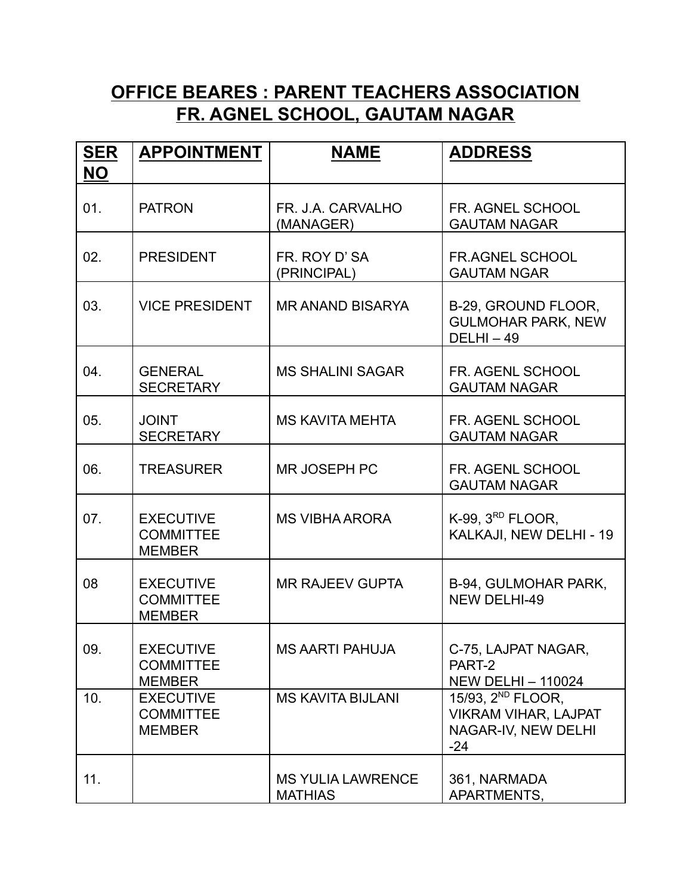## **OFFICE BEARES : PARENT TEACHERS ASSOCIATION FR. AGNEL SCHOOL, GAUTAM NAGAR**

| <b>SER</b> | <b>APPOINTMENT</b>                                    | <b>NAME</b>                                | <b>ADDRESS</b>                                                                               |
|------------|-------------------------------------------------------|--------------------------------------------|----------------------------------------------------------------------------------------------|
| <b>NO</b>  |                                                       |                                            |                                                                                              |
| 01.        | <b>PATRON</b>                                         | FR. J.A. CARVALHO<br>(MANAGER)             | FR. AGNEL SCHOOL<br><b>GAUTAM NAGAR</b>                                                      |
| 02.        | <b>PRESIDENT</b>                                      | FR. ROY D'SA<br>(PRINCIPAL)                | FR.AGNEL SCHOOL<br><b>GAUTAM NGAR</b>                                                        |
| 03.        | <b>VICE PRESIDENT</b>                                 | <b>MR ANAND BISARYA</b>                    | B-29, GROUND FLOOR,<br><b>GULMOHAR PARK, NEW</b><br>$DELHI - 49$                             |
| 04.        | <b>GENERAL</b><br><b>SECRETARY</b>                    | <b>MS SHALINI SAGAR</b>                    | FR. AGENL SCHOOL<br><b>GAUTAM NAGAR</b>                                                      |
| 05.        | <b>JOINT</b><br><b>SECRETARY</b>                      | <b>MS KAVITA MEHTA</b>                     | FR. AGENL SCHOOL<br><b>GAUTAM NAGAR</b>                                                      |
| 06.        | <b>TREASURER</b>                                      | <b>MR JOSEPH PC</b>                        | FR. AGENL SCHOOL<br><b>GAUTAM NAGAR</b>                                                      |
| 07.        | <b>EXECUTIVE</b><br><b>COMMITTEE</b><br><b>MEMBER</b> | <b>MS VIBHA ARORA</b>                      | K-99, $3RD$ FLOOR,<br>KALKAJI, NEW DELHI - 19                                                |
| 08         | <b>EXECUTIVE</b><br><b>COMMITTEE</b><br><b>MEMBER</b> | <b>MR RAJEEV GUPTA</b>                     | B-94, GULMOHAR PARK,<br><b>NEW DELHI-49</b>                                                  |
| 09.        | <b>EXECUTIVE</b><br><b>COMMITTEE</b><br><b>MEMBER</b> | MS AARTI PAHUJA                            | C-75, LAJPAT NAGAR,<br>PART-2<br><b>NEW DELHI - 110024</b>                                   |
| 10.        | <b>EXECUTIVE</b><br><b>COMMITTEE</b><br><b>MEMBER</b> | <b>MS KAVITA BIJLANI</b>                   | 15/93, 2 <sup>ND</sup> FLOOR,<br><b>VIKRAM VIHAR, LAJPAT</b><br>NAGAR-IV, NEW DELHI<br>$-24$ |
| 11.        |                                                       | <b>MS YULIA LAWRENCE</b><br><b>MATHIAS</b> | 361, NARMADA<br>APARTMENTS,                                                                  |